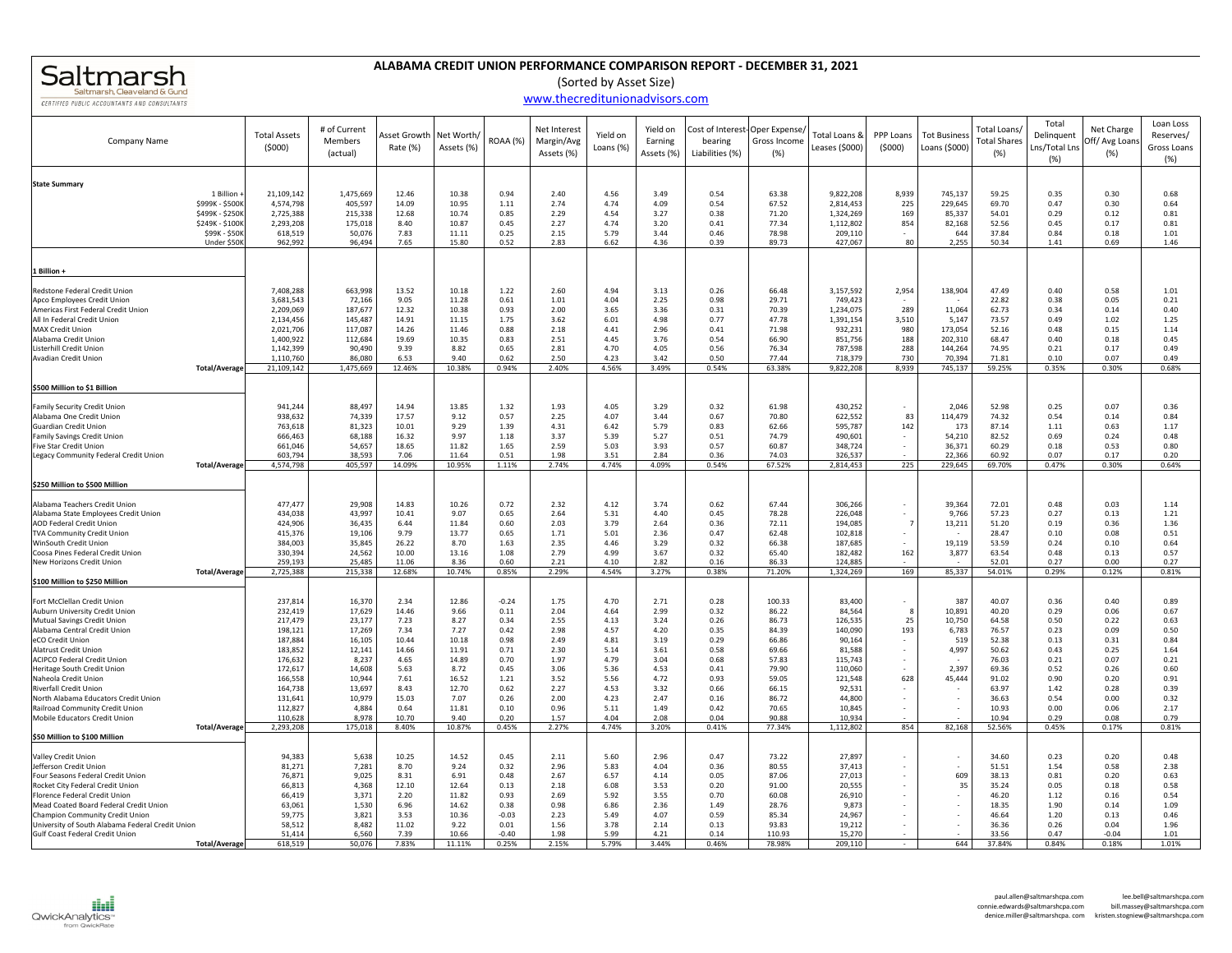## Saltmarsh, Cleaveland & Gund **CERTIFIED PUBLIC ACCOUNTANTS AND CONSULTANTS**

## **ALABAMA CREDIT UNION PERFORMANCE COMPARISON REPORT ‐ DECEMBER 31, 2021**

(Sorted by Asset Size)

## www.thecreditunionadvisors.com

| Company Name                                                           | <b>Total Assets</b><br>(5000) | # of Current<br>Members<br>(actual) | Asset Growth<br>Rate (%) | Net Worth<br>Assets (%) | ROAA (%)        | Net Interest<br>Margin/Avg<br>Assets (%) | Yield on<br>Loans (%) | Yield on<br>Earning<br>Assets (%) | bearing<br>Liabilities (%) | Cost of Interest-Oper Expense/<br>Gross Income<br>(% ) | Total Loans &<br>Leases (\$000) | PPP Loans<br>(5000) | <b>Tot Business</b><br>Loans (\$000) | Total Loans/<br><b>Total Shares</b><br>(%) | Total<br>Delinquent<br>Lns/Total Lns<br>(%) | Net Charge<br>Off/Avg Loan<br>(%) | Loan Loss<br>Reserves/<br>Gross Loans<br>(%) |
|------------------------------------------------------------------------|-------------------------------|-------------------------------------|--------------------------|-------------------------|-----------------|------------------------------------------|-----------------------|-----------------------------------|----------------------------|--------------------------------------------------------|---------------------------------|---------------------|--------------------------------------|--------------------------------------------|---------------------------------------------|-----------------------------------|----------------------------------------------|
| <b>State Summary</b>                                                   |                               |                                     |                          |                         |                 |                                          |                       |                                   |                            |                                                        |                                 |                     |                                      |                                            |                                             |                                   |                                              |
| 1 Billion                                                              | 21,109,142                    | 1,475,669                           | 12.46                    | 10.38                   | 0.94            | 2.40                                     | 4.56                  | 3.49                              | 0.54                       | 63.38                                                  | 9,822,208                       | 8,939               | 745,137                              | 59.25                                      | 0.35                                        | 0.30                              | 0.68                                         |
| \$999K - \$500K<br>\$499K - \$250K                                     | 4,574,798<br>2,725,388        | 405,597<br>215,338                  | 14.09<br>12.68           | 10.95<br>10.74          | 1.11<br>0.85    | 2.74<br>2.29                             | 4.74<br>4.54          | 4.09<br>3.27                      | 0.54<br>0.38               | 67.52<br>71.20                                         | 2,814,453<br>1,324,269          | 225<br>169          | 229,645<br>85,337                    | 69.70<br>54.01                             | 0.47<br>0.29                                | 0.30<br>0.12                      | 0.64<br>0.81                                 |
| \$249K - \$100K                                                        | 2,293,208                     | 175,018                             | 8.40                     | 10.87                   | 0.45            | 2.27                                     | 4.74                  | 3.20                              | 0.41                       | 77.34                                                  | 1,112,802                       | 854                 | 82,168                               | 52.56                                      | 0.45                                        | 0.17                              | 0.81                                         |
| \$99K - \$50K                                                          | 618,519                       | 50,076                              | 7.83                     | 11.11                   | 0.25            | 2.15                                     | 5.79                  | 3.44                              | 0.46                       | 78.98                                                  | 209,110                         |                     | 644                                  | 37.84                                      | 0.84                                        | 0.18                              | 1.01                                         |
| Under \$50K                                                            | 962,992                       | 96,494                              | 7.65                     | 15.80                   | 0.52            | 2.83                                     | 6.62                  | 4.36                              | 0.39                       | 89.73                                                  | 427,067                         | 80                  | 2,255                                | 50.34                                      | 1.41                                        | 0.69                              | 1.46                                         |
| 1 Billion +                                                            |                               |                                     |                          |                         |                 |                                          |                       |                                   |                            |                                                        |                                 |                     |                                      |                                            |                                             |                                   |                                              |
| Redstone Federal Credit Union                                          | 7,408,288                     | 663,998                             | 13.52                    | 10.18                   | 1.22            | 2.60                                     | 4.94                  | 3.13                              | 0.26                       | 66.48                                                  | 3,157,592                       | 2,954               | 138,904                              | 47.49                                      | 0.40                                        | 0.58                              | 1.01                                         |
| Apco Employees Credit Union                                            | 3,681,543                     | 72,166                              | 9.05                     | 11.28                   | 0.61            | 1.01                                     | 4.04                  | 2.25                              | 0.98                       | 29.71                                                  | 749,423                         |                     |                                      | 22.82                                      | 0.38                                        | 0.05                              | 0.21                                         |
| Americas First Federal Credit Union                                    | 2,209,069                     | 187,677                             | 12.32                    | 10.38                   | 0.93            | 2.00                                     | 3.65                  | 3.36                              | 0.31                       | 70.39                                                  | 1,234,075                       | 289                 | 11,064                               | 62.73                                      | 0.34                                        | 0.14                              | 0.40                                         |
| All In Federal Credit Union                                            | 2,134,456                     | 145,487                             | 14.91                    | 11.15                   | 1.75            | 3.62                                     | 6.01                  | 4.98                              | 0.77                       | 47.78                                                  | 1,391,154                       | 3,510               | 5,147                                | 73.57                                      | 0.49                                        | 1.02                              | 1.25                                         |
| <b>MAX Credit Union</b><br>Alabama Credit Unior                        | 2,021,706<br>1,400,922        | 117,087<br>112,684                  | 14.26<br>19.69           | 11.46<br>10.35          | 0.88<br>0.83    | 2.18<br>2.51                             | 4.41<br>4.45          | 2.96<br>3.76                      | 0.41<br>0.54               | 71.98<br>66.90                                         | 932,231<br>851,756              | 980<br>188          | 173,054<br>202,310                   | 52.16<br>68.47                             | 0.48<br>0.40                                | 0.15<br>0.18                      | 1.14<br>0.45                                 |
| Listerhill Credit Union                                                | 1,142,399                     | 90,490                              | 9.39                     | 8.82                    | 0.65            | 2.81                                     | 4.70                  | 4.05                              | 0.56                       | 76.34                                                  | 787,598                         | 288                 | 144,264                              | 74.95                                      | 0.21                                        | 0.17                              | 0.49                                         |
| Avadian Credit Union                                                   | 1,110,760                     | 86,080                              | 6.53                     | 9.40                    | 0.62            | 2.50                                     | 4.23                  | 3.42                              | 0.50                       | 77.44                                                  | 718,379                         | 730                 | 70,394                               | 71.81                                      | 0.10                                        | 0.07                              | 0.49                                         |
| <b>Total/Average</b>                                                   | 21,109,142                    | 1,475,669                           | 12.46%                   | 10.38%                  | 0.94%           | 2.40%                                    | 4.56%                 | 3.49%                             | 0.54%                      | 63.38%                                                 | 9,822,208                       | 8,939               | 745,137                              | 59.25%                                     | 0.35%                                       | 0.30%                             | 0.68%                                        |
| \$500 Million to \$1 Billion                                           |                               |                                     |                          |                         |                 |                                          |                       |                                   |                            |                                                        |                                 |                     |                                      |                                            |                                             |                                   |                                              |
| <b>Family Security Credit Union</b>                                    | 941,244                       | 88,497                              | 14.94                    | 13.85                   | 1.32            | 1.93                                     | 4.05                  | 3.29                              | 0.32                       | 61.98                                                  | 430,252                         |                     | 2,046                                | 52.98                                      | 0.25                                        | 0.07                              | 0.36                                         |
| Alabama One Credit Union                                               | 938,632                       | 74,339                              | 17.57                    | 9.12                    | 0.57            | 2.25                                     | 4.07                  | 3.44                              | 0.67                       | 70.80                                                  | 622,552                         | 83                  | 114,479                              | 74.32                                      | 0.54                                        | 0.14                              | 0.84                                         |
| Guardian Credit Union                                                  | 763,618                       | 81,323                              | 10.01                    | 9.29                    | 1.39            | 4.31                                     | 6.42                  | 5.79                              | 0.83                       | 62.66                                                  | 595,787                         | 142                 | 173                                  | 87.14                                      | 1.11                                        | 0.63                              | 1.17                                         |
| <b>Family Savings Credit Union</b>                                     | 666,463                       | 68,188                              | 16.32                    | 9.97                    | 1.18            | 3.37                                     | 5.39                  | 5.27                              | 0.51                       | 74.79                                                  | 490,601                         |                     | 54,210                               | 82.52                                      | 0.69                                        | 0.24                              | 0.48                                         |
| <b>Five Star Credit Union</b><br>Legacy Community Federal Credit Union | 661,046<br>603,794            | 54,657<br>38,593                    | 18.65<br>7.06            | 11.82<br>11.64          | 1.65<br>0.51    | 2.59<br>1.98                             | 5.03<br>3.51          | 3.93<br>2.84                      | 0.57<br>0.36               | 60.87<br>74.03                                         | 348,724<br>326,537              |                     | 36,371<br>22,366                     | 60.29<br>60.92                             | 0.18<br>0.07                                | 0.53<br>0.17                      | 0.80<br>0.20                                 |
| <b>Total/Average</b>                                                   | 4,574,798                     | 405,597                             | 14.09%                   | 10.95%                  | 1.11%           | 2.74%                                    | 4.74%                 | 4.09%                             | 0.54%                      | 67.52%                                                 | 2,814,453                       | 225                 | 229,645                              | 69.70%                                     | 0.47%                                       | 0.30%                             | 0.64%                                        |
| \$250 Million to \$500 Million                                         |                               |                                     |                          |                         |                 |                                          |                       |                                   |                            |                                                        |                                 |                     |                                      |                                            |                                             |                                   |                                              |
| Alabama Teachers Credit Union                                          | 477,477                       | 29,908                              | 14.83                    | 10.26                   | 0.72            | 2.32                                     | 4.12                  | 3.74                              | 0.62                       | 67.44                                                  | 306,266                         |                     | 39,364                               | 72.01                                      | 0.48                                        | 0.03                              | 1.14                                         |
| Alabama State Employees Credit Union                                   | 434,038                       | 43,997                              | 10.41                    | 9.07                    | 0.65            | 2.64                                     | 5.31                  | 4.40                              | 0.45                       | 78.28                                                  | 226,048                         |                     | 9,766                                | 57.23                                      | 0.27                                        | 0.13                              | 1.21                                         |
| AOD Federal Credit Union                                               | 424,906                       | 36,435                              | 6.44                     | 11.84                   | 0.60            | 2.03                                     | 3.79                  | 2.64                              | 0.36                       | 72.11                                                  | 194,085                         | $\overline{7}$      | 13,211                               | 51.20                                      | 0.19                                        | 0.36                              | 1.36                                         |
| <b>TVA Community Credit Union</b><br>WinSouth Credit Union             | 415,376<br>384,003            | 19,106                              | 9.79<br>26.22            | 13.77<br>8.70           | 0.65<br>1.63    | 1.71<br>2.35                             | 5.01<br>4.46          | 2.36<br>3.29                      | 0.47<br>0.32               | 62.48<br>66.38                                         | 102,818                         |                     |                                      | 28.47<br>53.59                             | 0.10<br>0.24                                | 0.08<br>0.10                      | 0.51<br>0.64                                 |
| Coosa Pines Federal Credit Union                                       | 330,394                       | 35,845<br>24,562                    | 10.00                    | 13.16                   | 1.08            | 2.79                                     | 4.99                  | 3.67                              | 0.32                       | 65.40                                                  | 187,685<br>182,482              | 162                 | 19,119<br>3,877                      | 63.54                                      | 0.48                                        | 0.13                              | 0.57                                         |
| New Horizons Credit Union                                              | 259,193                       | 25,485                              | 11.06                    | 8.36                    | 0.60            | 2.21                                     | 4.10                  | 2.82                              | 0.16                       | 86.33                                                  | 124,885                         |                     |                                      | 52.01                                      | 0.27                                        | 0.00                              | 0.27                                         |
| <b>Total/Average</b><br>\$100 Million to \$250 Million                 | 2,725,388                     | 215,338                             | 12.68%                   | 10.74%                  | 0.85%           | 2.29%                                    | 4.54%                 | 3.27%                             | 0.38%                      | 71.20%                                                 | 1,324,269                       | 169                 | 85,337                               | 54.01%                                     | 0.29%                                       | 0.12%                             | 0.81%                                        |
|                                                                        |                               |                                     |                          |                         |                 |                                          |                       |                                   |                            |                                                        |                                 |                     |                                      |                                            |                                             |                                   |                                              |
| Fort McClellan Credit Union<br>Auburn University Credit Unior          | 237,814<br>232,419            | 16,370<br>17,629                    | 2.34<br>14.46            | 12.86<br>9.66           | $-0.24$<br>0.11 | 1.75<br>2.04                             | 4.70<br>4.64          | 2.71<br>2.99                      | 0.28<br>0.32               | 100.33<br>86.22                                        | 83,400<br>84,564                | 8                   | 387<br>10,891                        | 40.07<br>40.20                             | 0.36<br>0.29                                | 0.40<br>0.06                      | 0.89<br>0.67                                 |
| Mutual Savings Credit Union                                            | 217,479                       | 23,177                              | 7.23                     | 8.27                    | 0.34            | 2.55                                     | 4.13                  | 3.24                              | 0.26                       | 86.73                                                  | 126,535                         | 25                  | 10,750                               | 64.58                                      | 0.50                                        | 0.22                              | 0.63                                         |
| Alabama Central Credit Union                                           | 198,121                       | 17,269                              | 7.34                     | 7.27                    | 0.42            | 2.98                                     | 4.57                  | 4.20                              | 0.35                       | 84.39                                                  | 140,090                         | 193                 | 6,783                                | 76.57                                      | 0.23                                        | 0.09                              | 0.50                                         |
| eCO Credit Union                                                       | 187,884                       | 16,105                              | 10.44                    | 10.18                   | 0.98            | 2.49                                     | 4.81                  | 3.19                              | 0.29                       | 66.86                                                  | 90,164                          | $\sim$              | 519                                  | 52.38                                      | 0.13                                        | 0.31                              | 0.84                                         |
| <b>Alatrust Credit Union</b>                                           | 183,852                       | 12,141                              | 14.66                    | 11.91<br>14.89          | 0.71            | 2.30                                     | 5.14                  | 3.61                              | 0.58                       | 69.66<br>57.83                                         | 81,588                          | $\sim$<br>$\sim$    | 4,997                                | 50.62                                      | 0.43                                        | 0.25                              | 1.64                                         |
| <b>ACIPCO Federal Credit Union</b><br>Heritage South Credit Union      | 176,632<br>172,617            | 8,237<br>14,608                     | 4.65<br>5.63             | 8.72                    | 0.70<br>0.45    | 1.97<br>3.06                             | 4.79<br>5.36          | 3.04<br>4.53                      | 0.68<br>0.41               | 79.90                                                  | 115,743<br>110,060              |                     | 2,397                                | 76.03<br>69.36                             | 0.21<br>0.52                                | 0.07<br>0.26                      | 0.21<br>0.60                                 |
| Naheola Credit Union                                                   | 166,558                       | 10,944                              | 7.61                     | 16.52                   | 1.21            | 3.52                                     | 5.56                  | 4.72                              | 0.93                       | 59.05                                                  | 121,548                         | 628                 | 45,444                               | 91.02                                      | 0.90                                        | 0.20                              | 0.91                                         |
| Riverfall Credit Union                                                 | 164,738                       | 13,697                              | 8.43                     | 12.70                   | 0.62            | 2.27                                     | 4.53                  | 3.32                              | 0.66                       | 66.15                                                  | 92,531                          |                     |                                      | 63.97                                      | 1.42                                        | 0.28                              | 0.39                                         |
| North Alabama Educators Credit Union                                   | 131,641                       | 10,979                              | 15.03                    | 7.07                    | 0.26            | 2.00                                     | 4.23                  | 2.47                              | 0.16                       | 86.72                                                  | 44,800                          |                     | $\sim$                               | 36.63                                      | 0.54                                        | 0.00                              | 0.32                                         |
| Railroad Community Credit Union<br>Mobile Educators Credit Union       | 112,827<br>110,628            | 4,884<br>8,978                      | 0.64<br>10.70            | 11.81<br>9.40           | 0.10<br>0.20    | 0.96<br>1.57                             | 5.11<br>4.04          | 1.49<br>2.08                      | 0.42<br>0.04               | 70.65<br>90.88                                         | 10,845<br>10,934                |                     | $\sim$                               | 10.93<br>10.94                             | 0.00<br>0.29                                | 0.06<br>0.08                      | 2.17<br>0.79                                 |
| <b>Total/Average</b>                                                   | 2,293,208                     | 175,018                             | 8.40%                    | 10.87%                  | 0.45%           | 2.27%                                    | 4.74%                 | 3.20%                             | 0.41%                      | 77.34%                                                 | 1,112,802                       | 854                 | 82,168                               | 52.56%                                     | 0.45%                                       | 0.17%                             | 0.81%                                        |
| \$50 Million to \$100 Million                                          |                               |                                     |                          |                         |                 |                                          |                       |                                   |                            |                                                        |                                 |                     |                                      |                                            |                                             |                                   |                                              |
| Valley Credit Union                                                    | 94,383                        | 5,638                               | 10.25                    | 14.52                   | 0.45            | 2.11                                     | 5.60                  | 2.96                              | 0.47                       | 73.22                                                  | 27,897                          |                     | $\overline{\phantom{a}}$             | 34.60                                      | 0.23                                        | 0.20                              | 0.48                                         |
| Jefferson Credit Union                                                 | 81,271                        | 7,281                               | 8.70                     | 9.24                    | 0.32            | 2.96                                     | 5.83                  | 4.04                              | 0.36                       | 80.55                                                  | 37,413                          |                     |                                      | 51.51                                      | 1.54                                        | 0.58                              | 2.38                                         |
| Four Seasons Federal Credit Union                                      | 76,871                        | 9,025                               | 8.31                     | 6.91                    | 0.48            | 2.67                                     | 6.57                  | 4.14                              | 0.05                       | 87.06                                                  | 27,013                          |                     | 609                                  | 38.13                                      | 0.81                                        | 0.20                              | 0.63                                         |
| Rocket City Federal Credit Union<br>Florence Federal Credit Unior      | 66,813                        | 4,368<br>3,371                      | 12.10<br>2.20            | 12.64<br>11.82          | 0.13<br>0.93    | 2.18<br>2.69                             | 6.08<br>5.92          | 3.53<br>3.55                      | 0.20<br>0.70               | 91.00<br>60.08                                         | 20,555                          |                     | 35                                   | 35.24<br>46.20                             | 0.05                                        | 0.18                              | 0.58<br>0.54                                 |
| Mead Coated Board Federal Credit Union                                 | 66,419<br>63,061              | 1,530                               | 6.96                     | 14.62                   | 0.38            | 0.98                                     | 6.86                  | 2.36                              | 1.49                       | 28.76                                                  | 26,910<br>9,873                 |                     |                                      | 18.35                                      | 1.12<br>1.90                                | 0.16<br>0.14                      | 1.09                                         |
| Champion Community Credit Union                                        | 59,775                        | 3,821                               | 3.53                     | 10.36                   | $-0.03$         | 2.23                                     | 5.49                  | 4.07                              | 0.59                       | 85.34                                                  | 24,967                          |                     | $\overline{\phantom{a}}$             | 46.64                                      | 1.20                                        | 0.13                              | 0.46                                         |
| University of South Alabama Federal Credit Union                       | 58,512                        | 8,482                               | 11.02                    | 9.22                    | 0.01            | 1.56                                     | 3.78                  | 2.14                              | 0.13                       | 93.83                                                  | 19,212                          |                     |                                      | 36.36                                      | 0.26                                        | 0.04                              | 1.96                                         |
| Gulf Coast Federal Credit Union                                        | 51,414                        | 6,560                               | 7.39                     | 10.66                   | $-0.40$         | 1.98                                     | 5.99                  | 4.21                              | 0.14                       | 110.93                                                 | 15,270                          |                     |                                      | 33.56                                      | 0.47                                        | $-0.04$                           | 1.01                                         |
| <b>Total/Average</b>                                                   | 618,519                       | 50,076                              | 7.83%                    | 11.11%                  | 0.25%           | 2.15%                                    | 5.79%                 | 3.44%                             | 0.46%                      | 78.98%                                                 | 209.110                         |                     | 644                                  | 37.84%                                     | 0.84%                                       | 0.18%                             | 1.01%                                        |